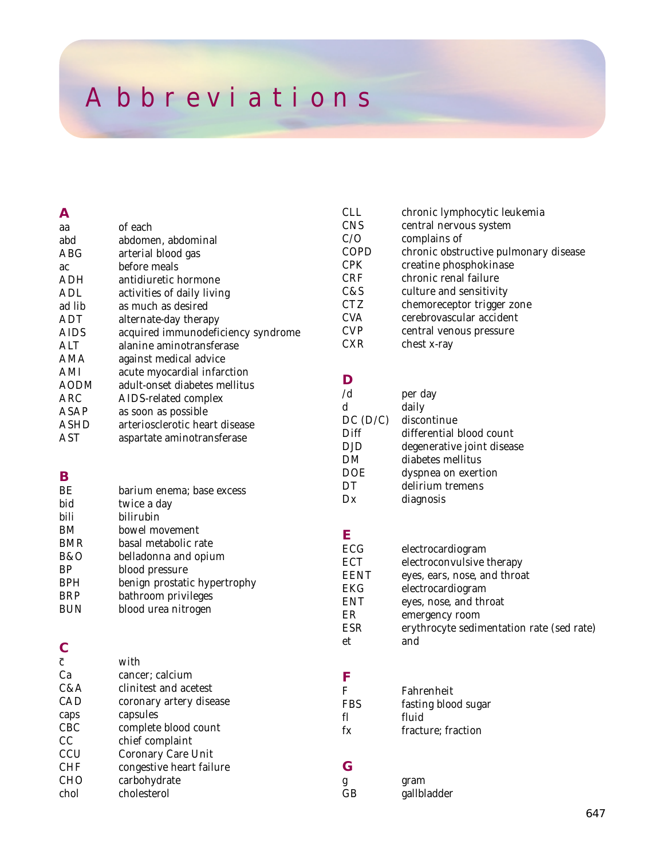## *Abbreviations*

| <b>CNS</b><br>of each<br>aa<br>C/O<br>abd<br>abdomen, abdominal<br>COPD<br>ABG<br>arterial blood gas<br><b>CPK</b><br>before meals<br>ac<br><b>CRF</b><br>antidiuretic hormone<br>ADH<br>C&S<br>ADL<br>activities of daily living<br><b>CTZ</b><br>ad lib<br>as much as desired<br><b>CVA</b><br>ADT<br>alternate-day therapy<br><b>CVP</b><br>acquired immunodeficiency syndrome<br>AIDS<br><b>CXR</b><br>ALT<br>alanine aminotransferase<br>AMA<br>against medical advice<br>AMI<br>acute myocardial infarction<br>D<br>adult-onset diabetes mellitus<br>AODM<br>/d<br>ARC<br>AIDS-related complex<br>d<br>ASAP<br>as soon as possible<br>$DC$ ( $D$<br><b>ASHD</b><br>arteriosclerotic heart disease<br>Diff<br><b>AST</b><br>aspartate aminotransferase<br><b>DJD</b><br>DM<br><b>DOE</b><br>B<br>DT<br>BE<br>barium enema; base excess<br>Dx<br>bid<br>twice a day<br>bili<br>bilirubin<br>BM<br>bowel movement<br>E<br>basal metabolic rate<br><b>BMR</b><br>ECG<br>B&O<br>belladonna and opium<br><b>ECT</b><br><b>BP</b><br>blood pressure<br><b>EENT</b><br><b>BPH</b><br>benign prostatic hypertrophy<br><b>EKG</b><br><b>BRP</b><br>bathroom privileges<br><b>ENT</b><br><b>BUN</b><br>blood urea nitrogen<br>ER<br><b>ESR</b><br>et<br>$\overline{c}$<br>with<br>Ca<br>cancer; calcium<br>F<br>C&A<br>clinitest and acetest<br>F<br>CAD<br>coronary artery disease<br><b>FBS</b><br>capsules<br>caps<br>fl<br>CBC<br>complete blood count<br>$f_{\rm X}$<br>CC<br>chief complaint<br>CCU<br>Coronary Care Unit<br>G<br><b>CHF</b><br>congestive heart failure<br><b>CHO</b><br>carbohydrate<br>g | Α    |             | <b>CLL</b> |
|--------------------------------------------------------------------------------------------------------------------------------------------------------------------------------------------------------------------------------------------------------------------------------------------------------------------------------------------------------------------------------------------------------------------------------------------------------------------------------------------------------------------------------------------------------------------------------------------------------------------------------------------------------------------------------------------------------------------------------------------------------------------------------------------------------------------------------------------------------------------------------------------------------------------------------------------------------------------------------------------------------------------------------------------------------------------------------------------------------------------------------------------------------------------------------------------------------------------------------------------------------------------------------------------------------------------------------------------------------------------------------------------------------------------------------------------------------------------------------------------------------------------------------------------------------------------------------------------------------------|------|-------------|------------|
|                                                                                                                                                                                                                                                                                                                                                                                                                                                                                                                                                                                                                                                                                                                                                                                                                                                                                                                                                                                                                                                                                                                                                                                                                                                                                                                                                                                                                                                                                                                                                                                                              |      |             |            |
|                                                                                                                                                                                                                                                                                                                                                                                                                                                                                                                                                                                                                                                                                                                                                                                                                                                                                                                                                                                                                                                                                                                                                                                                                                                                                                                                                                                                                                                                                                                                                                                                              |      |             |            |
|                                                                                                                                                                                                                                                                                                                                                                                                                                                                                                                                                                                                                                                                                                                                                                                                                                                                                                                                                                                                                                                                                                                                                                                                                                                                                                                                                                                                                                                                                                                                                                                                              |      |             |            |
|                                                                                                                                                                                                                                                                                                                                                                                                                                                                                                                                                                                                                                                                                                                                                                                                                                                                                                                                                                                                                                                                                                                                                                                                                                                                                                                                                                                                                                                                                                                                                                                                              |      |             |            |
|                                                                                                                                                                                                                                                                                                                                                                                                                                                                                                                                                                                                                                                                                                                                                                                                                                                                                                                                                                                                                                                                                                                                                                                                                                                                                                                                                                                                                                                                                                                                                                                                              |      |             |            |
|                                                                                                                                                                                                                                                                                                                                                                                                                                                                                                                                                                                                                                                                                                                                                                                                                                                                                                                                                                                                                                                                                                                                                                                                                                                                                                                                                                                                                                                                                                                                                                                                              |      |             |            |
|                                                                                                                                                                                                                                                                                                                                                                                                                                                                                                                                                                                                                                                                                                                                                                                                                                                                                                                                                                                                                                                                                                                                                                                                                                                                                                                                                                                                                                                                                                                                                                                                              |      |             |            |
|                                                                                                                                                                                                                                                                                                                                                                                                                                                                                                                                                                                                                                                                                                                                                                                                                                                                                                                                                                                                                                                                                                                                                                                                                                                                                                                                                                                                                                                                                                                                                                                                              |      |             |            |
|                                                                                                                                                                                                                                                                                                                                                                                                                                                                                                                                                                                                                                                                                                                                                                                                                                                                                                                                                                                                                                                                                                                                                                                                                                                                                                                                                                                                                                                                                                                                                                                                              |      |             |            |
|                                                                                                                                                                                                                                                                                                                                                                                                                                                                                                                                                                                                                                                                                                                                                                                                                                                                                                                                                                                                                                                                                                                                                                                                                                                                                                                                                                                                                                                                                                                                                                                                              |      |             |            |
|                                                                                                                                                                                                                                                                                                                                                                                                                                                                                                                                                                                                                                                                                                                                                                                                                                                                                                                                                                                                                                                                                                                                                                                                                                                                                                                                                                                                                                                                                                                                                                                                              |      |             |            |
|                                                                                                                                                                                                                                                                                                                                                                                                                                                                                                                                                                                                                                                                                                                                                                                                                                                                                                                                                                                                                                                                                                                                                                                                                                                                                                                                                                                                                                                                                                                                                                                                              |      |             |            |
|                                                                                                                                                                                                                                                                                                                                                                                                                                                                                                                                                                                                                                                                                                                                                                                                                                                                                                                                                                                                                                                                                                                                                                                                                                                                                                                                                                                                                                                                                                                                                                                                              |      |             |            |
|                                                                                                                                                                                                                                                                                                                                                                                                                                                                                                                                                                                                                                                                                                                                                                                                                                                                                                                                                                                                                                                                                                                                                                                                                                                                                                                                                                                                                                                                                                                                                                                                              |      |             |            |
|                                                                                                                                                                                                                                                                                                                                                                                                                                                                                                                                                                                                                                                                                                                                                                                                                                                                                                                                                                                                                                                                                                                                                                                                                                                                                                                                                                                                                                                                                                                                                                                                              |      |             |            |
|                                                                                                                                                                                                                                                                                                                                                                                                                                                                                                                                                                                                                                                                                                                                                                                                                                                                                                                                                                                                                                                                                                                                                                                                                                                                                                                                                                                                                                                                                                                                                                                                              |      |             |            |
|                                                                                                                                                                                                                                                                                                                                                                                                                                                                                                                                                                                                                                                                                                                                                                                                                                                                                                                                                                                                                                                                                                                                                                                                                                                                                                                                                                                                                                                                                                                                                                                                              |      |             |            |
|                                                                                                                                                                                                                                                                                                                                                                                                                                                                                                                                                                                                                                                                                                                                                                                                                                                                                                                                                                                                                                                                                                                                                                                                                                                                                                                                                                                                                                                                                                                                                                                                              |      |             |            |
|                                                                                                                                                                                                                                                                                                                                                                                                                                                                                                                                                                                                                                                                                                                                                                                                                                                                                                                                                                                                                                                                                                                                                                                                                                                                                                                                                                                                                                                                                                                                                                                                              |      |             |            |
|                                                                                                                                                                                                                                                                                                                                                                                                                                                                                                                                                                                                                                                                                                                                                                                                                                                                                                                                                                                                                                                                                                                                                                                                                                                                                                                                                                                                                                                                                                                                                                                                              |      |             |            |
|                                                                                                                                                                                                                                                                                                                                                                                                                                                                                                                                                                                                                                                                                                                                                                                                                                                                                                                                                                                                                                                                                                                                                                                                                                                                                                                                                                                                                                                                                                                                                                                                              |      |             |            |
|                                                                                                                                                                                                                                                                                                                                                                                                                                                                                                                                                                                                                                                                                                                                                                                                                                                                                                                                                                                                                                                                                                                                                                                                                                                                                                                                                                                                                                                                                                                                                                                                              |      |             |            |
|                                                                                                                                                                                                                                                                                                                                                                                                                                                                                                                                                                                                                                                                                                                                                                                                                                                                                                                                                                                                                                                                                                                                                                                                                                                                                                                                                                                                                                                                                                                                                                                                              |      |             |            |
|                                                                                                                                                                                                                                                                                                                                                                                                                                                                                                                                                                                                                                                                                                                                                                                                                                                                                                                                                                                                                                                                                                                                                                                                                                                                                                                                                                                                                                                                                                                                                                                                              |      |             |            |
|                                                                                                                                                                                                                                                                                                                                                                                                                                                                                                                                                                                                                                                                                                                                                                                                                                                                                                                                                                                                                                                                                                                                                                                                                                                                                                                                                                                                                                                                                                                                                                                                              |      |             |            |
|                                                                                                                                                                                                                                                                                                                                                                                                                                                                                                                                                                                                                                                                                                                                                                                                                                                                                                                                                                                                                                                                                                                                                                                                                                                                                                                                                                                                                                                                                                                                                                                                              |      |             |            |
|                                                                                                                                                                                                                                                                                                                                                                                                                                                                                                                                                                                                                                                                                                                                                                                                                                                                                                                                                                                                                                                                                                                                                                                                                                                                                                                                                                                                                                                                                                                                                                                                              |      |             |            |
|                                                                                                                                                                                                                                                                                                                                                                                                                                                                                                                                                                                                                                                                                                                                                                                                                                                                                                                                                                                                                                                                                                                                                                                                                                                                                                                                                                                                                                                                                                                                                                                                              |      |             |            |
|                                                                                                                                                                                                                                                                                                                                                                                                                                                                                                                                                                                                                                                                                                                                                                                                                                                                                                                                                                                                                                                                                                                                                                                                                                                                                                                                                                                                                                                                                                                                                                                                              |      |             |            |
|                                                                                                                                                                                                                                                                                                                                                                                                                                                                                                                                                                                                                                                                                                                                                                                                                                                                                                                                                                                                                                                                                                                                                                                                                                                                                                                                                                                                                                                                                                                                                                                                              |      |             |            |
|                                                                                                                                                                                                                                                                                                                                                                                                                                                                                                                                                                                                                                                                                                                                                                                                                                                                                                                                                                                                                                                                                                                                                                                                                                                                                                                                                                                                                                                                                                                                                                                                              |      |             |            |
|                                                                                                                                                                                                                                                                                                                                                                                                                                                                                                                                                                                                                                                                                                                                                                                                                                                                                                                                                                                                                                                                                                                                                                                                                                                                                                                                                                                                                                                                                                                                                                                                              |      |             |            |
|                                                                                                                                                                                                                                                                                                                                                                                                                                                                                                                                                                                                                                                                                                                                                                                                                                                                                                                                                                                                                                                                                                                                                                                                                                                                                                                                                                                                                                                                                                                                                                                                              |      |             |            |
|                                                                                                                                                                                                                                                                                                                                                                                                                                                                                                                                                                                                                                                                                                                                                                                                                                                                                                                                                                                                                                                                                                                                                                                                                                                                                                                                                                                                                                                                                                                                                                                                              |      |             |            |
|                                                                                                                                                                                                                                                                                                                                                                                                                                                                                                                                                                                                                                                                                                                                                                                                                                                                                                                                                                                                                                                                                                                                                                                                                                                                                                                                                                                                                                                                                                                                                                                                              |      |             |            |
|                                                                                                                                                                                                                                                                                                                                                                                                                                                                                                                                                                                                                                                                                                                                                                                                                                                                                                                                                                                                                                                                                                                                                                                                                                                                                                                                                                                                                                                                                                                                                                                                              |      |             |            |
|                                                                                                                                                                                                                                                                                                                                                                                                                                                                                                                                                                                                                                                                                                                                                                                                                                                                                                                                                                                                                                                                                                                                                                                                                                                                                                                                                                                                                                                                                                                                                                                                              |      |             |            |
|                                                                                                                                                                                                                                                                                                                                                                                                                                                                                                                                                                                                                                                                                                                                                                                                                                                                                                                                                                                                                                                                                                                                                                                                                                                                                                                                                                                                                                                                                                                                                                                                              |      |             |            |
|                                                                                                                                                                                                                                                                                                                                                                                                                                                                                                                                                                                                                                                                                                                                                                                                                                                                                                                                                                                                                                                                                                                                                                                                                                                                                                                                                                                                                                                                                                                                                                                                              |      |             |            |
|                                                                                                                                                                                                                                                                                                                                                                                                                                                                                                                                                                                                                                                                                                                                                                                                                                                                                                                                                                                                                                                                                                                                                                                                                                                                                                                                                                                                                                                                                                                                                                                                              |      |             |            |
|                                                                                                                                                                                                                                                                                                                                                                                                                                                                                                                                                                                                                                                                                                                                                                                                                                                                                                                                                                                                                                                                                                                                                                                                                                                                                                                                                                                                                                                                                                                                                                                                              |      |             |            |
|                                                                                                                                                                                                                                                                                                                                                                                                                                                                                                                                                                                                                                                                                                                                                                                                                                                                                                                                                                                                                                                                                                                                                                                                                                                                                                                                                                                                                                                                                                                                                                                                              |      |             |            |
|                                                                                                                                                                                                                                                                                                                                                                                                                                                                                                                                                                                                                                                                                                                                                                                                                                                                                                                                                                                                                                                                                                                                                                                                                                                                                                                                                                                                                                                                                                                                                                                                              |      |             |            |
|                                                                                                                                                                                                                                                                                                                                                                                                                                                                                                                                                                                                                                                                                                                                                                                                                                                                                                                                                                                                                                                                                                                                                                                                                                                                                                                                                                                                                                                                                                                                                                                                              | chol | cholesterol | GB         |

| <b>CLL</b>  | chronic lymphocytic leukemia          |
|-------------|---------------------------------------|
| <b>CNS</b>  | central nervous system                |
| C/O         | complains of                          |
| <b>COPD</b> | chronic obstructive pulmonary disease |
| <b>CPK</b>  | creatine phosphokinase                |
| <b>CRF</b>  | chronic renal failure                 |
| C&S         | culture and sensitivity               |
| <b>CTZ</b>  | chemoreceptor trigger zone            |
| <b>CVA</b>  | cerebrovascular accident              |
| <b>CVP</b>  | central venous pressure               |
| <b>CXR</b>  | chest x-ray                           |
|             |                                       |

| /d      | per day                    |
|---------|----------------------------|
| d       | daily                      |
| DC(D/C) | discontinue                |
| Diff    | differential blood count   |
| DJD     | degenerative joint disease |
| DM      | diabetes mellitus          |
| DOE     | dyspnea on exertion        |
| DΤ      | delirium tremens           |
| Dx      | diagnosis                  |
|         |                            |

| ECG  | electrocardiogram                         |
|------|-------------------------------------------|
| ECT  | electroconvulsive therapy                 |
| EENT | eyes, ears, nose, and throat              |
| EKG  | electrocardiogram                         |
| ENT  | eyes, nose, and throat                    |
| ER   | emergency room                            |
| ESR  | erythrocyte sedimentation rate (sed rate) |
| et   | and                                       |
|      |                                           |

| F   | Fahrenheit          |
|-----|---------------------|
| FBS | fasting blood sugar |
| fl  | fluid               |
| fx  | fracture; fraction  |

g gram GB gallbladder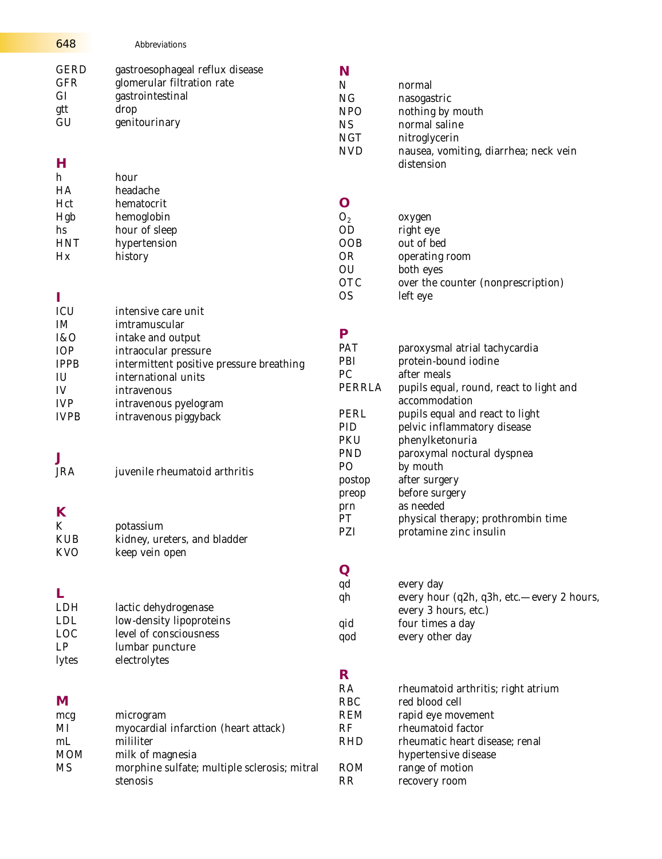| 648                                               | Abbreviations                                                                                              |                                                                               |                                                                                                                                    |
|---------------------------------------------------|------------------------------------------------------------------------------------------------------------|-------------------------------------------------------------------------------|------------------------------------------------------------------------------------------------------------------------------------|
| <b>GERD</b><br><b>GFR</b><br>GI<br>gtt<br>GU<br>н | gastroesophageal reflux disease<br>glomerular filtration rate<br>gastrointestinal<br>drop<br>genitourinary | N<br>$\mathbf N$<br>NG<br><b>NPO</b><br><b>NS</b><br><b>NGT</b><br><b>NVD</b> | normal<br>nasogastric<br>nothing by mouth<br>normal saline<br>nitroglycerin<br>nausea, vomiting, diarrhea; neck vein<br>distension |
| h                                                 | hour                                                                                                       |                                                                               |                                                                                                                                    |
| HA<br>Hct                                         | headache<br>hematocrit                                                                                     | O                                                                             |                                                                                                                                    |
| Hgb                                               | hemoglobin                                                                                                 | O <sub>2</sub>                                                                | oxygen                                                                                                                             |
| hs                                                | hour of sleep                                                                                              | <b>OD</b>                                                                     | right eye                                                                                                                          |
| <b>HNT</b>                                        | hypertension                                                                                               | <b>OOB</b>                                                                    | out of bed                                                                                                                         |
| Hx                                                | history                                                                                                    | <b>OR</b><br>OU                                                               | operating room<br>both eyes                                                                                                        |
|                                                   |                                                                                                            | <b>OTC</b>                                                                    | over the counter (nonprescription)                                                                                                 |
| I                                                 |                                                                                                            | <b>OS</b>                                                                     | left eye                                                                                                                           |
| ICU                                               | intensive care unit                                                                                        |                                                                               |                                                                                                                                    |
| IM                                                | imtramuscular                                                                                              |                                                                               |                                                                                                                                    |
| I&O                                               | intake and output                                                                                          | P<br>PAT                                                                      |                                                                                                                                    |
| IOP<br><b>IPPB</b>                                | intraocular pressure                                                                                       | PBI                                                                           | paroxysmal atrial tachycardia<br>protein-bound iodine                                                                              |
| IU                                                | intermittent positive pressure breathing<br>international units                                            | PC                                                                            | after meals                                                                                                                        |
| IV                                                | intravenous                                                                                                | PERRLA                                                                        | pupils equal, round, react to light and                                                                                            |
| <b>IVP</b>                                        | intravenous pyelogram                                                                                      |                                                                               | accommodation                                                                                                                      |
| <b>IVPB</b>                                       | intravenous piggyback                                                                                      | PERL<br>PID<br><b>PKU</b>                                                     | pupils equal and react to light<br>pelvic inflammatory disease<br>phenylketonuria                                                  |
| J                                                 |                                                                                                            | <b>PND</b>                                                                    | paroxymal noctural dyspnea                                                                                                         |
| <b>JRA</b>                                        | juvenile rheumatoid arthritis                                                                              | P <sub>O</sub>                                                                | by mouth                                                                                                                           |
|                                                   |                                                                                                            | postop                                                                        | after surgery<br>before surgery                                                                                                    |
|                                                   |                                                                                                            | preop<br>prn                                                                  | as needed                                                                                                                          |
| K                                                 |                                                                                                            | PT                                                                            | physical therapy; prothrombin time                                                                                                 |
| K<br><b>KUB</b>                                   | potassium                                                                                                  | PZI                                                                           | protamine zinc insulin                                                                                                             |
| <b>KVO</b>                                        | kidney, ureters, and bladder<br>keep vein open                                                             |                                                                               |                                                                                                                                    |
|                                                   |                                                                                                            | Q                                                                             |                                                                                                                                    |
|                                                   |                                                                                                            | qd                                                                            | every day                                                                                                                          |
| L<br>LDH                                          | lactic dehydrogenase                                                                                       | qh                                                                            | every hour (q2h, q3h, etc.—every 2 hours,<br>every 3 hours, etc.)                                                                  |
| <b>LDL</b><br><b>LOC</b>                          | low-density lipoproteins<br>level of consciousness                                                         | qid                                                                           | four times a day                                                                                                                   |
| LP                                                | lumbar puncture                                                                                            | qod                                                                           | every other day                                                                                                                    |
| lytes                                             | electrolytes                                                                                               |                                                                               |                                                                                                                                    |
|                                                   |                                                                                                            | R                                                                             |                                                                                                                                    |
| M                                                 |                                                                                                            | RA<br><b>RBC</b>                                                              | rheumatoid arthritis; right atrium<br>red blood cell                                                                               |
| mcg                                               | microgram                                                                                                  | <b>REM</b>                                                                    | rapid eye movement                                                                                                                 |
| MI                                                | myocardial infarction (heart attack)                                                                       | RF                                                                            | rheumatoid factor                                                                                                                  |
| m <sub>L</sub><br><b>MOM</b>                      | mililiter<br>milk of magnesia                                                                              | <b>RHD</b>                                                                    | rheumatic heart disease; renal<br>hypertensive disease                                                                             |
| <b>MS</b>                                         | morphine sulfate; multiple sclerosis; mitral                                                               | <b>ROM</b>                                                                    | range of motion                                                                                                                    |
|                                                   | stenosis                                                                                                   | <b>RR</b>                                                                     | recovery room                                                                                                                      |
|                                                   |                                                                                                            |                                                                               |                                                                                                                                    |